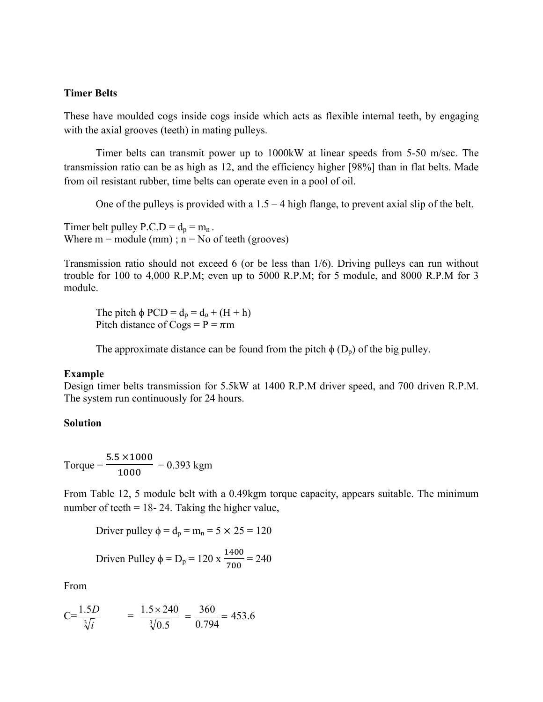### **Timer Belts**

These have moulded cogs inside cogs inside which acts as flexible internal teeth, by engaging with the axial grooves (teeth) in mating pulleys.

Timer belts can transmit power up to 1000kW at linear speeds from 5-50 m/sec. The transmission ratio can be as high as 12, and the efficiency higher [98%] than in flat belts. Made from oil resistant rubber, time belts can operate even in a pool of oil.

One of the pulleys is provided with a  $1.5 - 4$  high flange, to prevent axial slip of the belt.

Timer belt pulley  $P.C.D = d_p = m_n$ . Where  $m =$  module (mm);  $n =$  No of teeth (grooves)

Transmission ratio should not exceed 6 (or be less than 1/6). Driving pulleys can run without trouble for 100 to 4,000 R.P.M; even up to 5000 R.P.M; for 5 module, and 8000 R.P.M for 3 module.

The pitch  $\phi$  PCD =  $d_p = d_q + (H + h)$ Pitch distance of Cogs =  $P = \pi m$ 

The approximate distance can be found from the pitch  $\phi$  (D<sub>p</sub>) of the big pulley.

#### **Example**

Design timer belts transmission for 5.5kW at 1400 R.P.M driver speed, and 700 driven R.P.M. The system run continuously for 24 hours.

#### **Solution**

 $Torque =$  $5.5 \times 1000$  $\frac{1000}{1000}$  = 0.393 kgm

From Table 12, 5 module belt with a 0.49kgm torque capacity, appears suitable. The minimum number of teeth  $= 18-24$ . Taking the higher value,

Driver pulley  $\phi = d_p = m_n = 5 \times 25 = 120$ 

Driven Pulley φ = D<sub>p</sub> = 120 x 
$$
\frac{1400}{700}
$$
 = 240

From

$$
C = \frac{1.5D}{\sqrt[3]{i}} = \frac{1.5 \times 240}{\sqrt[3]{0.5}} = \frac{360}{0.794} = 453.6
$$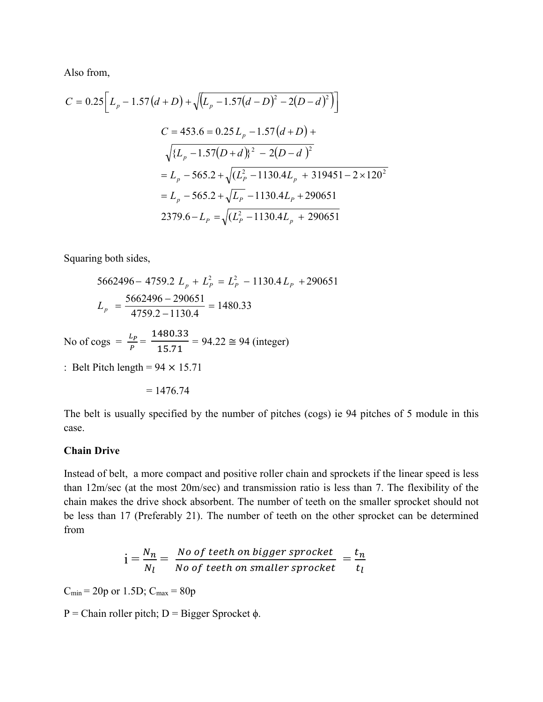Also from,

$$
C = 0.25 \left[ L_p - 1.57(d+D) + \sqrt{(L_p - 1.57(d-D)^2 - 2(D-d)^2)} \right]
$$
  
\n
$$
C = 453.6 = 0.25 L_p - 1.57(d+D) +
$$
  
\n
$$
\sqrt{\{L_p - 1.57(D+d)\}^2 - 2(D-d)^2}
$$
  
\n
$$
= L_p - 565.2 + \sqrt{(L_p^2 - 1130.4L_p + 319451 - 2 \times 120^2)}
$$
  
\n
$$
= L_p - 565.2 + \sqrt{L_p} - 1130.4L_p + 290651
$$
  
\n
$$
2379.6 - L_p = \sqrt{(L_p^2 - 1130.4L_p + 290651)}
$$

Squaring both sides,

$$
5662496 - 4759.2 L_p + L_p^2 = L_p^2 - 1130.4 L_p + 290651
$$
  

$$
L_p = \frac{5662496 - 290651}{4759.2 - 1130.4} = 1480.33
$$

No of cogs =  $\frac{L_p}{P}$  = 1480.33  $\frac{15.71}{15.71}$  = 94.22  $\approx$  94 (integer)

: Belt Pitch length =  $94 \times 15.71$ 

$$
=1476.74
$$

The belt is usually specified by the number of pitches (cogs) ie 94 pitches of 5 module in this case.

# **Chain Drive**

Instead of belt, a more compact and positive roller chain and sprockets if the linear speed is less than 12m/sec (at the most 20m/sec) and transmission ratio is less than 7. The flexibility of the chain makes the drive shock absorbent. The number of teeth on the smaller sprocket should not be less than 17 (Preferably 21). The number of teeth on the other sprocket can be determined from

$$
i = \frac{N_n}{N_l} = \frac{No\ of\ teeth\ on\ bigger\ sprocket}{No\ of\ teeth\ on\ smaller\ sprocket} = \frac{t_n}{t_l}
$$

 $C_{\text{min}} = 20p \text{ or } 1.5D$ ;  $C_{\text{max}} = 80p$ 

P = Chain roller pitch; D = Bigger Sprocket  $\phi$ .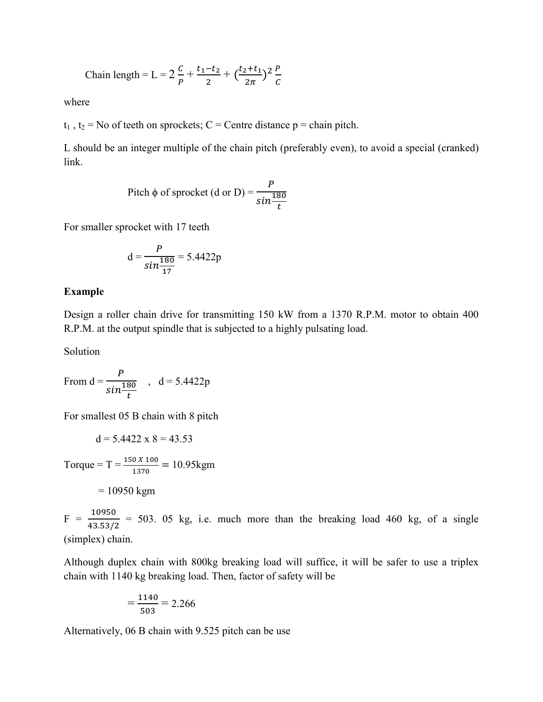Chain length = L = 
$$
2\frac{c}{p} + \frac{t_1 - t_2}{2} + (\frac{t_2 + t_1}{2\pi})^2 \frac{p}{c}
$$

where

 $t_1$ ,  $t_2$  = No of teeth on sprockets; C = Centre distance p = chain pitch.

L should be an integer multiple of the chain pitch (preferably even), to avoid a special (cranked) link.

Pitch 
$$
\phi
$$
 of sprocket (d or D) =  $\frac{P}{\sin \frac{180}{t}}$ 

For smaller sprocket with 17 teeth

$$
d = \frac{P}{\sin \frac{180}{17}} = 5.4422p
$$

#### **Example**

Design a roller chain drive for transmitting 150 kW from a 1370 R.P.M. motor to obtain 400 R.P.M. at the output spindle that is subjected to a highly pulsating load.

Solution

From 
$$
d = \frac{P}{\sin \frac{180}{t}}
$$
,  $d = 5.4422p$ 

For smallest 05 B chain with 8 pitch

$$
d = 5.4422 \times 8 = 43.53
$$

Torque = T =  $\frac{150 X 100}{1370}$  = 10.95kgm  $= 10950$  kgm

 $F = \frac{10950}{43.53/2}$  = 503. 05 kg, i.e. much more than the breaking load 460 kg, of a single (simplex) chain.

Although duplex chain with 800kg breaking load will suffice, it will be safer to use a triplex chain with 1140 kg breaking load. Then, factor of safety will be

$$
=\frac{1140}{503}=2.266
$$

Alternatively, 06 B chain with 9.525 pitch can be use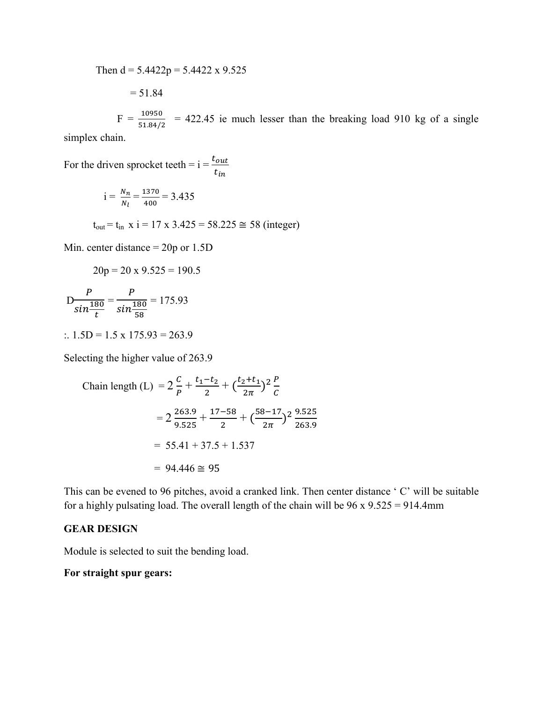Then  $d = 5.4422p = 5.4422x99.525$ 

$$
= 51.84
$$

 $F = \frac{10950}{51.84/2}$  = 422.45 ie much lesser than the breaking load 910 kg of a single

simplex chain.

For the driven sprocket teeth =  $i = \frac{t_{out}}{t}$  $t_{in}$ 

$$
i = \frac{N_n}{N_l} = \frac{1370}{400} = 3.435
$$

 $t_{out} = t_{in}$  x i = 17 x 3.425 = 58.225  $\approx$  58 (integer)

Min. center distance = 20p or 1.5D

$$
20p = 20 \times 9.525 = 190.5
$$

$$
D \frac{P}{\sin \frac{180}{t}} = \frac{P}{\sin \frac{180}{58}} = 175.93
$$

:.  $1.5D = 1.5 \times 175.93 = 263.9$ 

Selecting the higher value of 263.9

Chain length (L) = 
$$
2\frac{c}{p} + \frac{t_1 - t_2}{2} + (\frac{t_2 + t_1}{2\pi})^2 \frac{p}{c}
$$
  
\n=  $2\frac{263.9}{9.525} + \frac{17 - 58}{2} + (\frac{58 - 17}{2\pi})^2 \frac{9.525}{263.9}$   
\n= 55.41 + 37.5 + 1.537  
\n= 94.446  $\approx$  95

This can be evened to 96 pitches, avoid a cranked link. Then center distance ' C' will be suitable for a highly pulsating load. The overall length of the chain will be  $96 \times 9.525 = 914.4$ mm

# **GEAR DESIGN**

Module is selected to suit the bending load.

# **For straight spur gears:**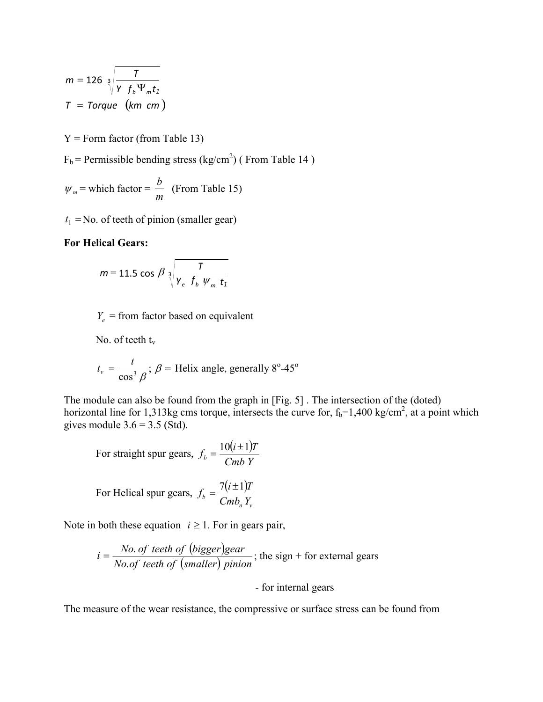$$
m = 126 \sqrt[3]{\frac{T}{Y f_b \Psi_m t_1}}
$$

$$
T = Torque \ (km \ cm)
$$

 $Y =$  Form factor (from Table 13)

 $F_b$  = Permissible bending stress (kg/cm<sup>2</sup>) (From Table 14)

$$
\psi_m
$$
 = which factor =  $\frac{b}{m}$  (From Table 15)

 $t_1$  = No. of teeth of pinion (smaller gear)

## **For Helical Gears:**

$$
m = 11.5 \cos \beta \sqrt[3]{\frac{7}{\gamma_e + f_b \psi_m + f_1}}
$$

 $Y_e$  = from factor based on equivalent

No. of teeth  $t_v$ 

$$
t_v = \frac{t}{\cos^3 \beta}
$$
;  $\beta$  = Helix angle, generally 8°-45°

The module can also be found from the graph in [Fig. 5] . The intersection of the (doted) horizontal line for 1,313kg cms torque, intersects the curve for,  $f_b=1,400 \text{ kg/cm}^2$ , at a point which gives module  $3.6 = 3.5$  (Std).

For straight spur gears, 
$$
f_b = \frac{10(i \pm 1)T}{Cmb Y}
$$

For Helical spur gears, 
$$
f_b = \frac{7(i \pm 1)T}{Cmb_n Y_v}
$$

Note in both these equation  $i \geq 1$ . For in gears pair,

$$
i = \frac{No. \ of \ teeth \ of \ (bigger) gear}{No. \ of \ teeth \ of \ (small \ (smaller) \ pinion};
$$

# - for internal gears

The measure of the wear resistance, the compressive or surface stress can be found from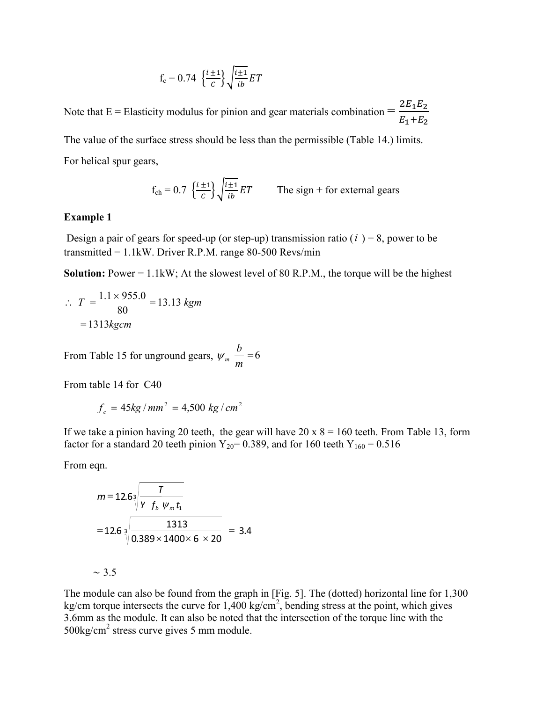$$
f_c = 0.74 \left\{ \frac{i \pm 1}{c} \right\} \sqrt{\frac{i \pm 1}{ib}} ET
$$

Note that E = Elasticity modulus for pinion and gear materials combination =  $\frac{2E_1E_2}{E_1+E_2}$  $E_1 + E_2$ The value of the surface stress should be less than the permissible (Table 14.) limits.

For helical spur gears,

$$
f_{ch} = 0.7 \left\{ \frac{i \pm 1}{c} \right\} \sqrt{\frac{i \pm 1}{ib}} ET
$$
 The sign + for external years

### **Example 1**

Design a pair of gears for speed-up (or step-up) transmission ratio  $(i) = 8$ , power to be transmitted =  $1.1$ kW. Driver R.P.M. range 80-500 Revs/min

**Solution:** Power = 1.1kW; At the slowest level of 80 R.P.M., the torque will be the highest

$$
\therefore T = \frac{1.1 \times 955.0}{80} = 13.13 \text{ kgm}
$$

$$
= 1313 \text{ kgcm}
$$

From Table 15 for unground gears,  $\psi_m$  – = 6 *m b*  $W_m$ 

From table 14 for C40

$$
f_c = 45kg/mm^2 = 4,500 kg/cm^2
$$

If we take a pinion having 20 teeth, the gear will have  $20 \times 8 = 160$  teeth. From Table 13, form factor for a standard 20 teeth pinion  $Y_{20}$  = 0.389, and for 160 teeth  $Y_{160}$  = 0.516

From eqn.

$$
m = 12.6\sqrt[3]{\frac{7}{\gamma f_b w_m t_1}}
$$
  
= 12.6\sqrt[3]{\frac{1313}{0.389 \times 1400 \times 6 \times 20}} = 3.4

$$
\sim 3.5
$$

The module can also be found from the graph in [Fig. 5]. The (dotted) horizontal line for 1,300 kg/cm torque intersects the curve for  $1,400 \text{ kg/cm}^2$ , bending stress at the point, which gives 3.6mm as the module. It can also be noted that the intersection of the torque line with the 500kg/cm2 stress curve gives 5 mm module.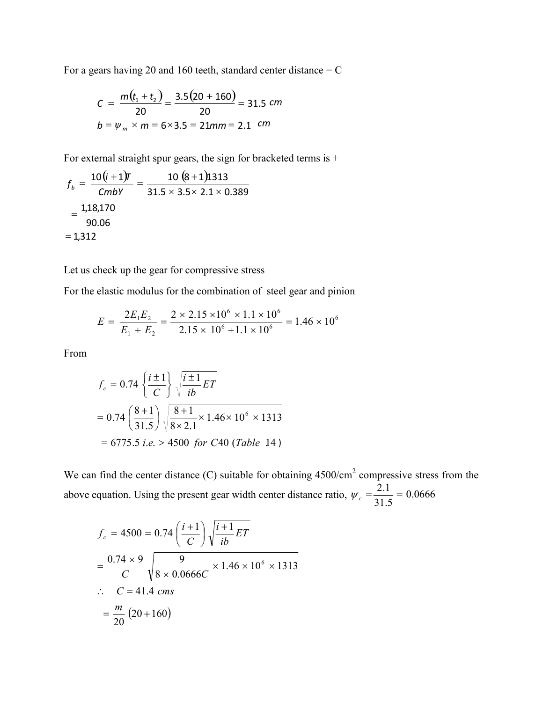For a gears having 20 and 160 teeth, standard center distance  $= C$ 

$$
C = \frac{m(t_1 + t_2)}{20} = \frac{3.5(20 + 160)}{20} = 31.5 \text{ cm}
$$
  

$$
b = \psi_m \times m = 6 \times 3.5 = 21 \text{ mm} = 2.1 \text{ cm}
$$

For external straight spur gears, the sign for bracketed terms is +

$$
f_b = \frac{10(i+1)\pi}{Cmb\gamma} = \frac{10(8+1)1313}{31.5 \times 3.5 \times 2.1 \times 0.389}
$$

$$
= \frac{1,18,170}{90.06}
$$

$$
= 1,312
$$

Let us check up the gear for compressive stress

For the elastic modulus for the combination of steel gear and pinion

$$
E = \frac{2E_1E_2}{E_1 + E_2} = \frac{2 \times 2.15 \times 10^6 \times 1.1 \times 10^6}{2.15 \times 10^6 + 1.1 \times 10^6} = 1.46 \times 10^6
$$

From

$$
f_c = 0.74 \left\{ \frac{i \pm 1}{C} \right\} \sqrt{\frac{i \pm 1}{ib} ET}
$$
  
= 0.74  $\left( \frac{8+1}{31.5} \right) \sqrt{\frac{8+1}{8 \times 2.1} \times 1.46 \times 10^6 \times 1313}$   
= 6775.5 i.e. > 4500 for C40 (Table 14)

We can find the center distance  $(C)$  suitable for obtaining  $4500/cm<sup>2</sup>$  compressive stress from the above equation. Using the present gear width center distance ratio,  $\psi_c = \frac{2.1}{24.5} = 0.0666$ 31.5  $W_c = \frac{2.1}{21.5}$ 

$$
f_c = 4500 = 0.74 \left(\frac{i+1}{C}\right) \sqrt{\frac{i+1}{ib} ET}
$$
  
=  $\frac{0.74 \times 9}{C} \sqrt{\frac{9}{8 \times 0.0666 C} \times 1.46 \times 10^6 \times 1313}$   
 $\therefore C = 41.4 \text{ cms}$   
=  $\frac{m}{20} (20 + 160)$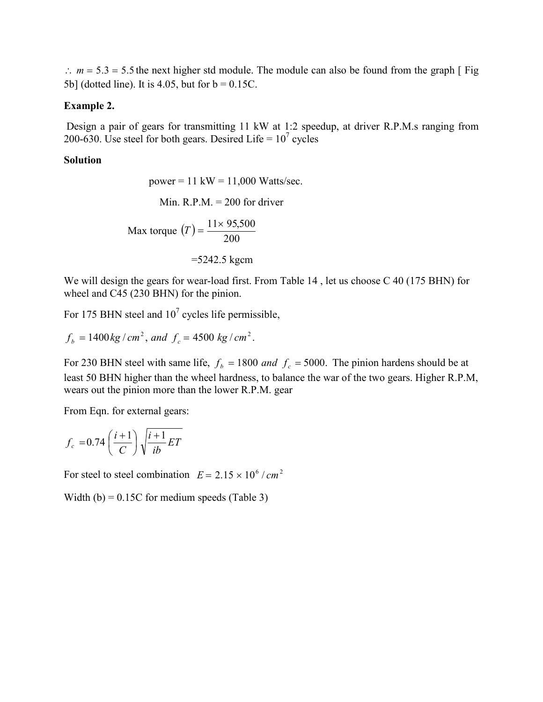$\therefore$   $m = 5.3 = 5.5$  the next higher std module. The module can also be found from the graph [ Fig 5b] (dotted line). It is 4.05, but for  $b = 0.15C$ .

# **Example 2.**

Design a pair of gears for transmitting 11 kW at 1:2 speedup, at driver R.P.M.s ranging from 200-630. Use steel for both gears. Desired Life =  $10^7$  cycles

# **Solution**

power = 11 kW = 11,000 Watts/sec.  
Min. R.P.M. = 200 for driver  
Max torque 
$$
(T) = \frac{11 \times 95,500}{200}
$$
  
=5242.5 kgcm

We will design the gears for wear-load first. From Table 14, let us choose C 40 (175 BHN) for wheel and C45 (230 BHN) for the pinion.

For 175 BHN steel and  $10<sup>7</sup>$  cycles life permissible,

$$
f_b = 1400 \text{ kg}/\text{cm}^2
$$
, and  $f_c = 4500 \text{ kg}/\text{cm}^2$ .

For 230 BHN steel with same life,  $f_b = 1800$  and  $f_c = 5000$ . The pinion hardens should be at least 50 BHN higher than the wheel hardness, to balance the war of the two gears. Higher R.P.M, wears out the pinion more than the lower R.P.M. gear

From Eqn. for external gears:

$$
f_c = 0.74 \left(\frac{i+1}{C}\right) \sqrt{\frac{i+1}{ib} ET}
$$

For steel to steel combination  $E = 2.15 \times 10^6 / cm^2$ 

Width (b) =  $0.15C$  for medium speeds (Table 3)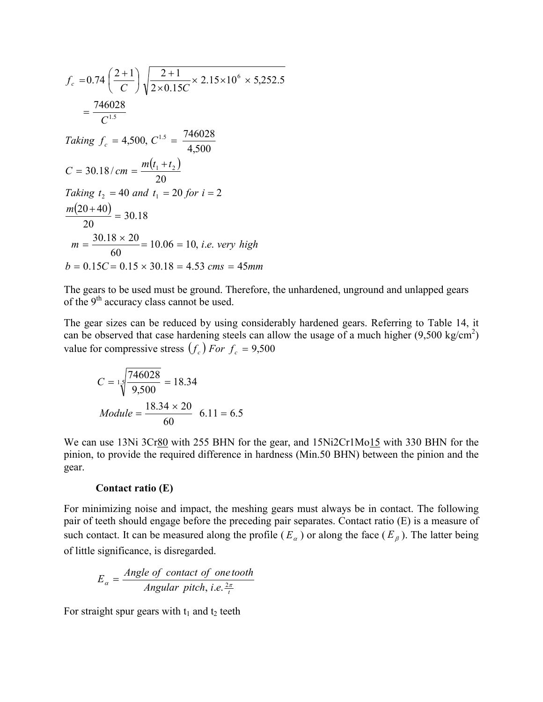$$
f_c = 0.74 \left(\frac{2+1}{C}\right) \sqrt{\frac{2+1}{2 \times 0.15C} \times 2.15 \times 10^6 \times 5,252.5}
$$
  
\n
$$
= \frac{746028}{C^{1.5}}
$$
  
\nTaking  $f_c = 4,500$ ,  $C^{1.5} = \frac{746028}{4,500}$   
\n $C = 30.18 / cm = \frac{m(t_1 + t_2)}{20}$   
\nTaking  $t_2 = 40$  and  $t_1 = 20$  for  $i = 2$   
\n $\frac{m(20+40)}{20} = 30.18$   
\n $m = \frac{30.18 \times 20}{60} = 10.06 = 10$ , *i.e.* very high  
\n $b = 0.15C = 0.15 \times 30.18 = 4.53$  cms = 45mm

The gears to be used must be ground. Therefore, the unhardened, unground and unlapped gears of the  $9<sup>th</sup>$  accuracy class cannot be used.

The gear sizes can be reduced by using considerably hardened gears. Referring to Table 14, it can be observed that case hardening steels can allow the usage of a much higher  $(9,500 \text{ kg/cm}^2)$ value for compressive stress  $(f_c)$  *For*  $f_c = 9,500$ 

$$
C = 1.5 \sqrt{\frac{746028}{9,500}} = 18.34
$$
  

$$
Module = \frac{18.34 \times 20}{60} \quad 6.11 = 6.5
$$

We can use 13Ni 3Cr80 with 255 BHN for the gear, and 15Ni2Cr1Mo<sub>15</sub> with 330 BHN for the pinion, to provide the required difference in hardness (Min.50 BHN) between the pinion and the gear.

### **Contact ratio (E)**

For minimizing noise and impact, the meshing gears must always be in contact. The following pair of teeth should engage before the preceding pair separates. Contact ratio (E) is a measure of such contact. It can be measured along the profile  $(E_{\alpha})$  or along the face  $(E_{\beta})$ . The latter being of little significance, is disregarded.

$$
E_{\alpha} = \frac{Angle\ of\ contact\ of\ one\ tooth}{Angular\ pitch, i.e. \frac{2\pi}{t}}
$$

For straight spur gears with  $t_1$  and  $t_2$  teeth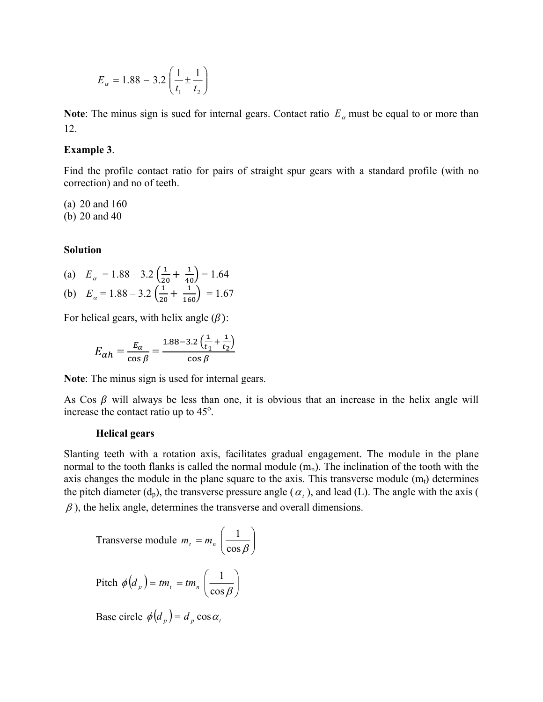$$
E_{\alpha} = 1.88 - 3.2 \left( \frac{1}{t_1} \pm \frac{1}{t_2} \right)
$$

**Note**: The minus sign is sued for internal gears. Contact ratio  $E_a$  must be equal to or more than 12.

### **Example 3**.

Find the profile contact ratio for pairs of straight spur gears with a standard profile (with no correction) and no of teeth.

(a) 20 and 160 (b) 20 and 40

## **Solution**

(a) 
$$
E_{\alpha} = 1.88 - 3.2 \left( \frac{1}{20} + \frac{1}{40} \right) = 1.64
$$
  
\n(b)  $E_{\alpha} = 1.88 - 3.2 \left( \frac{1}{20} + \frac{1}{160} \right) = 1.67$ 

For helical gears, with helix angle  $(\beta)$ :

$$
E_{\alpha h} = \frac{E_{\alpha}}{\cos \beta} = \frac{1.88 - 3.2\left(\frac{1}{t_1} + \frac{1}{t_2}\right)}{\cos \beta}
$$

**Note**: The minus sign is used for internal gears.

As Cos  $\beta$  will always be less than one, it is obvious that an increase in the helix angle will increase the contact ratio up to  $45^\circ$ .

#### **Helical gears**

Slanting teeth with a rotation axis, facilitates gradual engagement. The module in the plane normal to the tooth flanks is called the normal module  $(m_n)$ . The inclination of the tooth with the axis changes the module in the plane square to the axis. This transverse module  $(m_t)$  determines the pitch diameter  $(d_p)$ , the transverse pressure angle  $(\alpha_t)$ , and lead (L). The angle with the axis (  $\beta$ ), the helix angle, determines the transverse and overall dimensions.

Transverse module  $m_t = m_n \left( \frac{1}{\cos \beta} \right)$ Pitch  $\phi(d_p) = tm_t = tm_n \left[ \frac{1}{\cos \beta} \right]$ J  $\mathcal{L}$  $\overline{\phantom{a}}$  $m_t = m_n \left( \frac{1}{\cos \beta} \right)$  $\bigg)$  $\mathcal{L}_{\mathcal{L}}$  $\overline{\phantom{a}}$  $\phi(d_p) = tm_t = tm_n \left(\frac{1}{\cos \beta}\right)$  $\left(d_p\right) = tm_t = tm_n \left(\frac{1}{2\pi\epsilon}\right)$ 

Base circle  $\phi(d_p) = d_p \cos \alpha_p$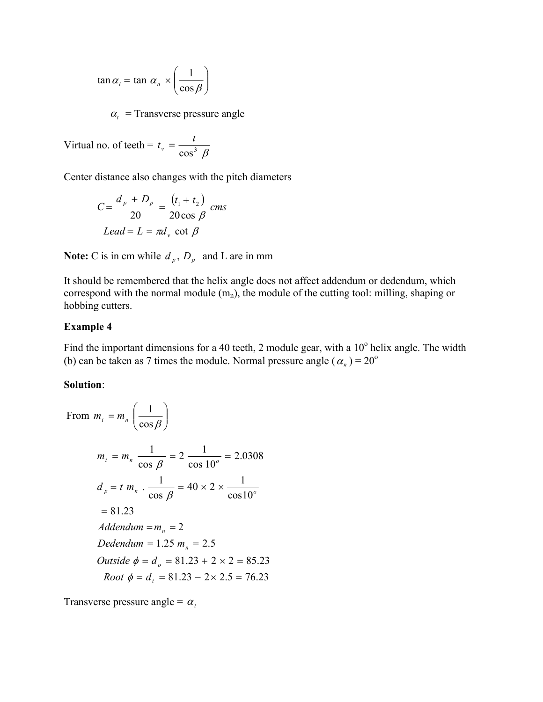$$
\tan \alpha_t = \tan \alpha_n \times \left(\frac{1}{\cos \beta}\right)
$$

 $\alpha_t$  = Transverse pressure angle

Virtual no. of teeth =  $t_v = \frac{v}{\cos^3 \beta}$  $t_v = \frac{t}{\sqrt{t}}$ 

Center distance also changes with the pitch diameters

$$
C = \frac{d_p + D_p}{20} = \frac{(t_1 + t_2)}{20 \cos \beta} \text{ cms}
$$
  
 
$$
Lead = L = \pi d_v \text{ cot } \beta
$$

**Note:** C is in cm while  $d_p$ ,  $D_p$  and L are in mm

It should be remembered that the helix angle does not affect addendum or dedendum, which correspond with the normal module  $(m_n)$ , the module of the cutting tool: milling, shaping or hobbing cutters.

## **Example 4**

Find the important dimensions for a 40 teeth, 2 module gear, with a  $10^{\circ}$  helix angle. The width (b) can be taken as 7 times the module. Normal pressure angle  $(\alpha_n) = 20^{\circ}$ 

## **Solution**:

From 
$$
m_t = m_n \left( \frac{1}{\cos \beta} \right)
$$
  
\n $m_t = m_n \frac{1}{\cos \beta} = 2 \frac{1}{\cos 10^\circ} = 2.0308$   
\n $d_p = t m_n \cdot \frac{1}{\cos \beta} = 40 \times 2 \times \frac{1}{\cos 10^\circ}$   
\n $= 81.23$   
\n*Addendum* =  $m_n = 2$   
\n*Dedendum* = 1.25  $m_n = 2.5$   
\n*Outside*  $\phi = d_o = 81.23 + 2 \times 2 = 85.23$   
\n*Root*  $\phi = d_t = 81.23 - 2 \times 2.5 = 76.23$ 

Transverse pressure angle =  $\alpha_i$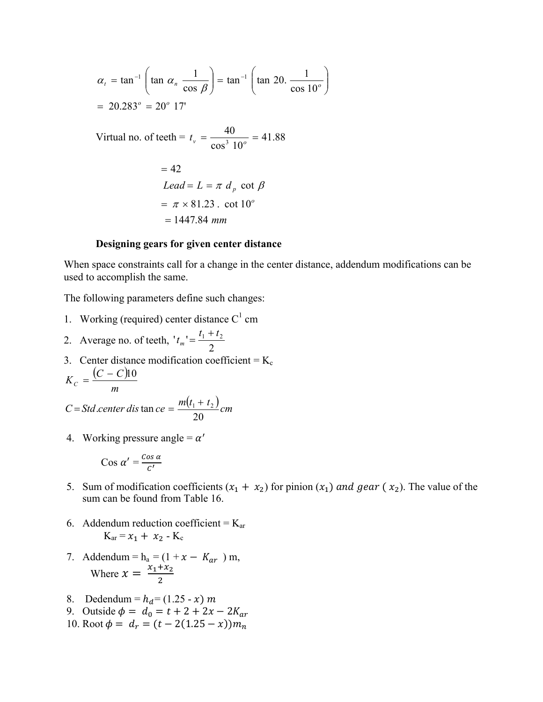$$
\alpha_{t} = \tan^{-1} \left( \tan \alpha_{n} \frac{1}{\cos \beta} \right) = \tan^{-1} \left( \tan 20. \frac{1}{\cos 10^{\circ}} \right)
$$
  
= 20.283° = 20° 17'  
  
Virtual no. of teeth =  $t_{v} = \frac{40}{\cos^{3} 10^{\circ}} = 41.88$   
= 42  
*Lead* =  $L = \pi d_{p} \cot \beta$   
=  $\pi \times 81.23$ . cot 10°  
= 1447.84 mm

#### **Designing gears for given center distance**

When space constraints call for a change in the center distance, addendum modifications can be used to accomplish the same.

 $\overline{\phantom{a}}$  $\overline{\phantom{a}}$  $\bigg)$ 

 $\setminus$ 

The following parameters define such changes:

- 1. Working (required) center distance  $C<sup>1</sup>$  cm
- 2. Average no. of teeth,  $t_{m}$ <sup>'</sup> =  $\frac{t_{1} + t_{2}}{2}$
- 3. Center distance modification coefficient =  $K_c$  $(C-C)$  $K_C = \frac{(C - C)10}{m}$

$$
C = Std.center dis tan ce = \frac{m(t_1 + t_2)}{20} cm
$$

4. Working pressure angle =  $\alpha'$ 

$$
\cos \alpha' = \frac{\cos \alpha}{c'}
$$

- 5. Sum of modification coefficients  $(x_1 + x_2)$  for pinion  $(x_1)$  and gear  $(x_2)$ . The value of the sum can be found from Table 16.
- 6. Addendum reduction coefficient =  $K_{\text{ar}}$  $K_{ar} = x_1 + x_2 - K_c$
- 7. Addendum =  $h_a = (1 + x K_{ar})$  m, Where  $x = \frac{x_1 + x_2}{2}$
- 8. Dedendum =  $h_d$  = (1.25 x) m
- 9. Outside  $\phi = d_0 = t + 2 + 2x 2K_{ar}$
- 10. Root  $\phi = d_r = (t 2(1.25 x))m_n$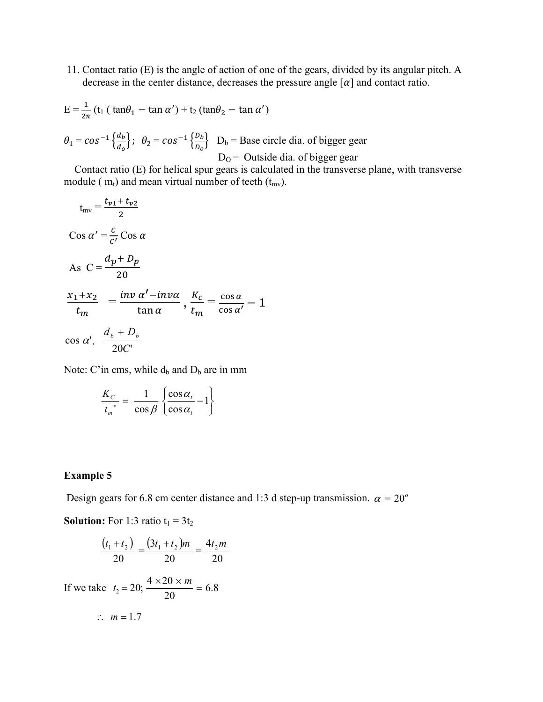11. Contact ratio (E) is the angle of action of one of the gears, divided by its angular pitch. A decrease in the center distance, decreases the pressure angle  $\lceil \alpha \rceil$  and contact ratio.

$$
E = \frac{1}{2\pi} (t_1 (\tan\theta_1 - \tan\alpha') + t_2 (\tan\theta_2 - \tan\alpha')
$$
  

$$
\theta_1 = \cos^{-1} \left\{ \frac{d_b}{d_o} \right\}; \quad \theta_2 = \cos^{-1} \left\{ \frac{D_b}{D_o} \right\} \quad D_b = \text{Base circle dia. of bigger gear}
$$
  

$$
D_0 = \text{Outside dia. of bigger gear}
$$

 Contact ratio (E) for helical spur gears is calculated in the transverse plane, with transverse module ( $m_t$ ) and mean virtual number of teeth ( $t_{mv}$ ).

$$
t_{mv} = \frac{t_{v1} + t_{v2}}{2}
$$
  
\n
$$
Cos \alpha' = \frac{c}{c'} Cos \alpha
$$
  
\nAs  $C = \frac{d_p + D_p}{20}$   
\n
$$
\frac{x_1 + x_2}{t_m} = \frac{inv \alpha' - inv\alpha}{\tan \alpha}, \frac{K_c}{t_m} = \frac{cos \alpha}{cos \alpha'} - 1
$$
  
\n
$$
cos \alpha', \frac{d_b + D_b}{20C'}
$$

Note: C'in cms, while  $d_b$  and  $D_b$  are in mm

$$
\frac{K_C}{t_m} = \frac{1}{\cos \beta} \left\{ \frac{\cos \alpha_t}{\cos \alpha_t} - 1 \right\}
$$

## **Example 5**

Design gears for 6.8 cm center distance and 1:3 d step-up transmission.  $\alpha = 20^{\circ}$ 

**Solution:** For 1:3 ratio  $t_1 = 3t_2$ 

$$
\frac{(t_1+t_2)}{20} = \frac{(3t_1+t_2)m}{20} = \frac{4t_2m}{20}
$$

If we take  $t_2 = 20$ ;  $\frac{4.428 \times 10}{20} = 6.8$  $t_2 = 20; \frac{4 \times 20 \times m}{20} =$ 

$$
\therefore m=1.7
$$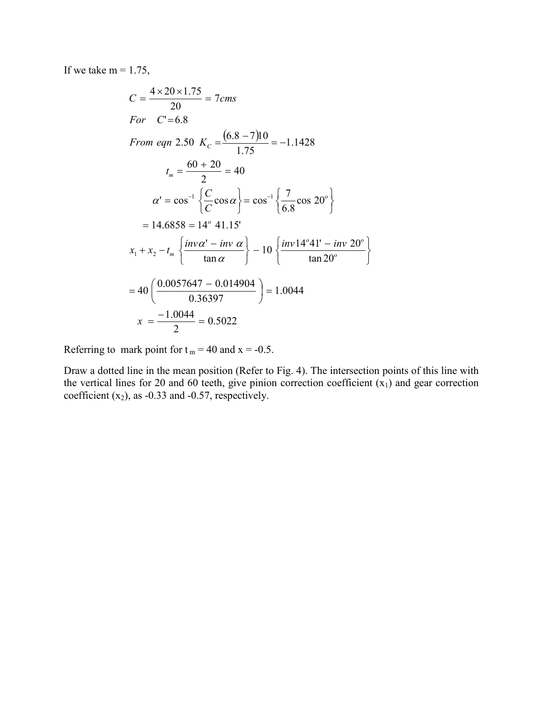If we take  $m = 1.75$ ,

$$
C = \frac{4 \times 20 \times 1.75}{20} = 7 \text{cms}
$$
  
For  $C' = 6.8$   
From eqn 2.50  $K_C = \frac{(6.8 - 7)10}{1.75} = -1.1428$   
 $t_m = \frac{60 + 20}{2} = 40$   
 $\alpha' = \cos^{-1} \left\{ \frac{C}{C} \cos \alpha \right\} = \cos^{-1} \left\{ \frac{7}{6.8} \cos 20^{\circ} \right\}$   
 $= 14.6858 = 14^{\circ} 41.15'$   
 $x_1 + x_2 - t_m \left\{ \frac{inv \alpha' - inv \alpha}{tan \alpha} \right\} - 10 \left\{ \frac{inv 14^{\circ} 41' - inv 20^{\circ}}{tan 20^{\circ}} \right\}$   
 $= 40 \left( \frac{0.0057647 - 0.014904}{0.36397} \right) = 1.0044$   
 $x = \frac{-1.0044}{2} = 0.5022$ 

Referring to mark point for  $t_m = 40$  and  $x = -0.5$ .

Draw a dotted line in the mean position (Refer to Fig. 4). The intersection points of this line with the vertical lines for 20 and 60 teeth, give pinion correction coefficient  $(x_1)$  and gear correction coefficient  $(x_2)$ , as -0.33 and -0.57, respectively.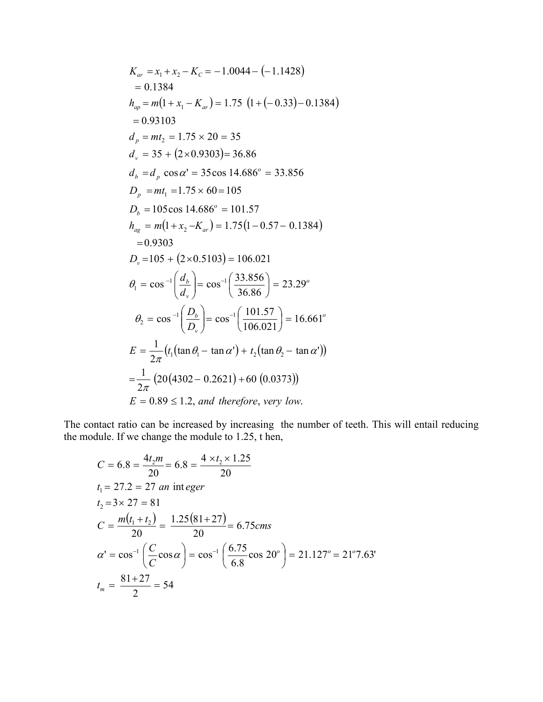$$
K_{ar} = x_1 + x_2 - K_C = -1.0044 - (-1.1428)
$$
  
= 0.1384  

$$
h_{ap} = m(1 + x_1 - K_{ar}) = 1.75 (1 + (-0.33) - 0.1384)
$$
  
= 0.93103  

$$
d_p = mt_2 = 1.75 \times 20 = 35
$$

$$
d_v = 35 + (2 \times 0.9303) = 36.86
$$

$$
d_b = d_p \cos \alpha' = 35 \cos 14.686^\circ = 33.856
$$

$$
D_p = mt_1 = 1.75 \times 60 = 105
$$

$$
D_b = 105 \cos 14.686^\circ = 101.57
$$

$$
h_{ag} = m(1 + x_2 - K_{ar}) = 1.75(1 - 0.57 - 0.1384)
$$

$$
= 0.9303
$$

$$
D_v = 105 + (2 \times 0.5103) = 106.021
$$

$$
\theta_1 = \cos^{-1}\left(\frac{d_b}{d_v}\right) = \cos^{-1}\left(\frac{33.856}{36.86}\right) = 23.29^\circ
$$

$$
\theta_2 = \cos^{-1}\left(\frac{D_b}{D_v}\right) = \cos^{-1}\left(\frac{101.57}{106.021}\right) = 16.661^\circ
$$

$$
E = \frac{1}{2\pi}(t_1(\tan \theta_1 - \tan \alpha') + t_2(\tan \theta_2 - \tan \alpha'))
$$

$$
= \frac{1}{2\pi}(20(4302 - 0.2621) + 60 (0.0373))
$$

$$
E = 0.89 \le 1.2, and therefore, very low.
$$

The contact ratio can be increased by increasing the number of teeth. This will entail reducing the module. If we change the module to 1.25, t hen,

$$
C = 6.8 = \frac{4t_2m}{20} = 6.8 = \frac{4 \times t_2 \times 1.25}{20}
$$
  
\n $t_1 = 27.2 = 27$  an integer  
\n $t_2 = 3 \times 27 = 81$   
\n
$$
C = \frac{m(t_1 + t_2)}{20} = \frac{1.25(81 + 27)}{20} = 6.75
$$
  
\n
$$
\alpha' = \cos^{-1}\left(\frac{C}{C}\cos\alpha\right) = \cos^{-1}\left(\frac{6.75}{6.8}\cos 20^\circ\right) = 21.127^\circ = 21^\circ 7.63'
$$
  
\n $t_m = \frac{81 + 27}{2} = 54$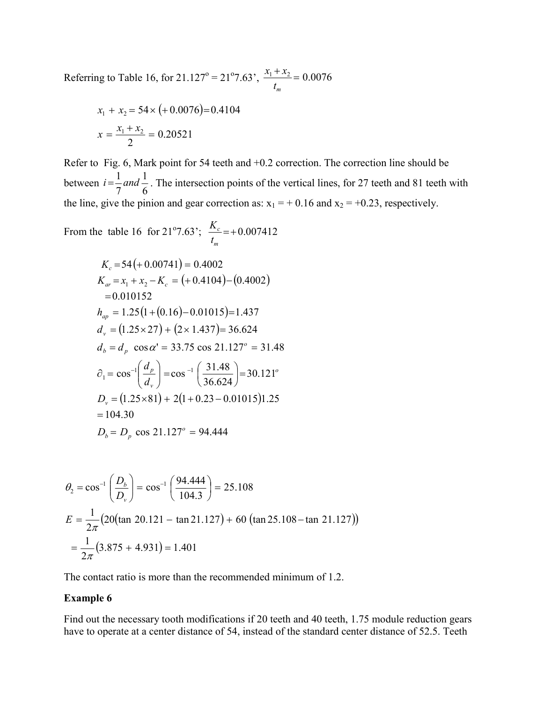Referring to Table 16, for 21.127° = 21°7.63',  $\frac{x_1 + x_2}{1} = 0.0076$ *mt*  $x_1 + x$ 

$$
x_1 + x_2 = 54 \times (+0.0076) = 0.4104
$$

$$
x = \frac{x_1 + x_2}{2} = 0.20521
$$

Refer to Fig. 6, Mark point for 54 teeth and +0.2 correction. The correction line should be between  $i = \frac{1}{2}$  and  $\frac{1}{6}$ . The intersection points of the vertical lines, for 27 teeth and 81 teeth with the line, give the pinion and gear correction as:  $x_1 = +0.16$  and  $x_2 = +0.23$ , respectively. 6 1 7  $i = \frac{1}{2}$  and

From the table 16 for 21°7.63'; 
$$
\frac{K_c}{t_m}
$$
 = +0.007412

$$
K_c = 54(+0.00741) = 0.4002
$$
  
\n
$$
K_{ar} = x_1 + x_2 - K_c = (+0.4104) - (0.4002)
$$
  
\n= 0.010152  
\n
$$
h_{ap} = 1.25(1 + (0.16) - 0.01015) = 1.437
$$
  
\n
$$
d_v = (1.25 \times 27) + (2 \times 1.437) = 36.624
$$
  
\n
$$
d_b = d_p \cos \alpha' = 33.75 \cos 21.127^\circ = 31.48
$$
  
\n
$$
\partial_1 = \cos^{-1}\left(\frac{d_p}{d_v}\right) = \cos^{-1}\left(\frac{31.48}{36.624}\right) = 30.121^\circ
$$
  
\n
$$
D_v = (1.25 \times 81) + 2(1 + 0.23 - 0.01015)1.25
$$
  
\n= 104.30  
\n
$$
D_b = D_p \cos 21.127^\circ = 94.444
$$

$$
\theta_2 = \cos^{-1}\left(\frac{D_b}{D_v}\right) = \cos^{-1}\left(\frac{94.444}{104.3}\right) = 25.108
$$
  
\n
$$
E = \frac{1}{2\pi} \left(20(\tan 20.121 - \tan 21.127) + 60 (\tan 25.108 - \tan 21.127)\right)
$$
  
\n
$$
= \frac{1}{2\pi} (3.875 + 4.931) = 1.401
$$

The contact ratio is more than the recommended minimum of 1.2.

### **Example 6**

Find out the necessary tooth modifications if 20 teeth and 40 teeth, 1.75 module reduction gears have to operate at a center distance of 54, instead of the standard center distance of 52.5. Teeth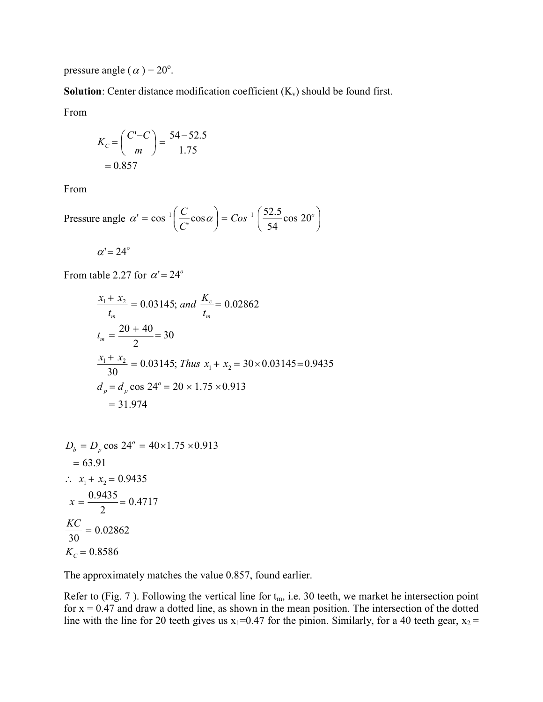pressure angle ( $\alpha$ ) = 20<sup>o</sup>.

**Solution**: Center distance modification coefficient  $(K_v)$  should be found first.

From

$$
K_C = \left(\frac{C'-C}{m}\right) = \frac{54-52.5}{1.75} = 0.857
$$

From

Pressure angle 
$$
\alpha' = \cos^{-1}\left(\frac{C}{C}\cos\alpha\right) = \cos^{-1}\left(\frac{52.5}{54}\cos 20^\circ\right)
$$

 $\alpha' = 24^{\circ}$ 

From table 2.27 for  $\alpha' = 24^{\circ}$ 

$$
\frac{x_1 + x_2}{t_m} = 0.03145; \text{ and } \frac{K_c}{t_m} = 0.02862
$$
\n
$$
t_m = \frac{20 + 40}{2} = 30
$$
\n
$$
\frac{x_1 + x_2}{30} = 0.03145; \text{ Thus } x_1 + x_2 = 30 \times 0.03145 = 0.9435
$$
\n
$$
d_p = d_p \cos 24^\circ = 20 \times 1.75 \times 0.913
$$
\n
$$
= 31.974
$$

$$
D_b = D_p \cos 24^\circ = 40 \times 1.75 \times 0.913
$$
  
= 63.91  

$$
\therefore x_1 + x_2 = 0.9435
$$
  

$$
x = \frac{0.9435}{2} = 0.4717
$$
  

$$
\frac{KC}{30} = 0.02862
$$
  

$$
K_c = 0.8586
$$

The approximately matches the value 0.857, found earlier.

Refer to (Fig. 7). Following the vertical line for  $t_m$ , i.e. 30 teeth, we market he intersection point for  $x = 0.47$  and draw a dotted line, as shown in the mean position. The intersection of the dotted line with the line for 20 teeth gives us  $x_1=0.47$  for the pinion. Similarly, for a 40 teeth gear,  $x_2 =$